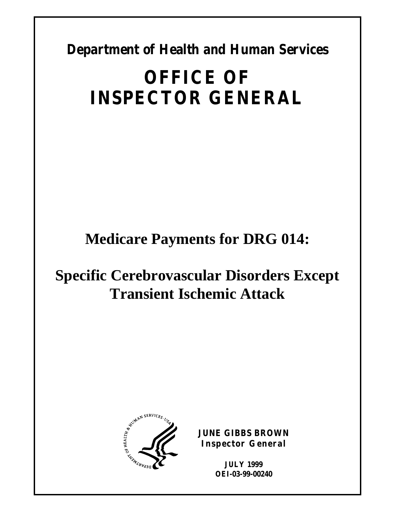**Department of Health and Human Services** 

# **OFFICE OF INSPECTOR GENERAL**

**Medicare Payments for DRG 014:** 

# **Specific Cerebrovascular Disorders Except Transient Ischemic Attack**



**JUNE GIBBS BROWN Inspector General** 

> **JULY 1999 OEI-03-99-00240**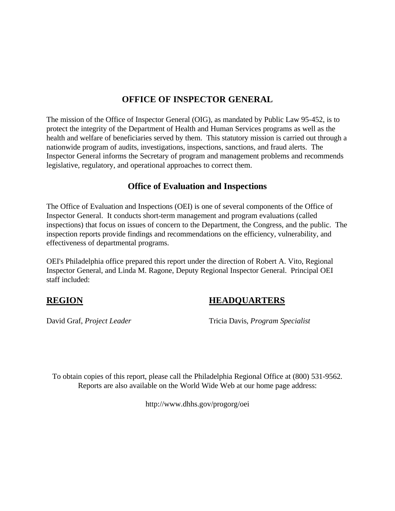#### **OFFICE OF INSPECTOR GENERAL**

The mission of the Office of Inspector General (OIG), as mandated by Public Law 95-452, is to protect the integrity of the Department of Health and Human Services programs as well as the health and welfare of beneficiaries served by them. This statutory mission is carried out through a nationwide program of audits, investigations, inspections, sanctions, and fraud alerts. The Inspector General informs the Secretary of program and management problems and recommends legislative, regulatory, and operational approaches to correct them.

#### **Office of Evaluation and Inspections**

The Office of Evaluation and Inspections (OEI) is one of several components of the Office of Inspector General. It conducts short-term management and program evaluations (called inspections) that focus on issues of concern to the Department, the Congress, and the public. The inspection reports provide findings and recommendations on the efficiency, vulnerability, and effectiveness of departmental programs.

OEI's Philadelphia office prepared this report under the direction of Robert A. Vito, Regional Inspector General, and Linda M. Ragone, Deputy Regional Inspector General. Principal OEI staff included:

#### **REGION HEADQUARTERS**

David Graf, *Project Leader* Tricia Davis, *Program Specialist* 

To obtain copies of this report, please call the Philadelphia Regional Office at (800) 531-9562. Reports are also available on the World Wide Web at our home page address:

http://www.dhhs.gov/progorg/oei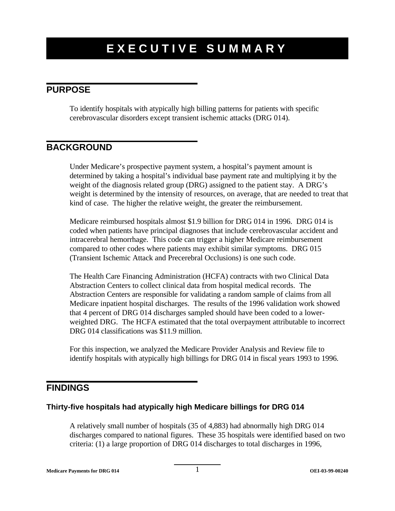#### **PURPOSE**

To identify hospitals with atypically high billing patterns for patients with specific cerebrovascular disorders except transient ischemic attacks (DRG 014).

### **BACKGROUND**

Under Medicare's prospective payment system, a hospital's payment amount is determined by taking a hospital's individual base payment rate and multiplying it by the weight of the diagnosis related group (DRG) assigned to the patient stay. A DRG's weight is determined by the intensity of resources, on average, that are needed to treat that kind of case. The higher the relative weight, the greater the reimbursement.

Medicare reimbursed hospitals almost \$1.9 billion for DRG 014 in 1996. DRG 014 is coded when patients have principal diagnoses that include cerebrovascular accident and intracerebral hemorrhage. This code can trigger a higher Medicare reimbursement compared to other codes where patients may exhibit similar symptoms. DRG 015 (Transient Ischemic Attack and Precerebral Occlusions) is one such code.

The Health Care Financing Administration (HCFA) contracts with two Clinical Data Abstraction Centers to collect clinical data from hospital medical records. The Abstraction Centers are responsible for validating a random sample of claims from all Medicare inpatient hospital discharges. The results of the 1996 validation work showed that 4 percent of DRG 014 discharges sampled should have been coded to a lowerweighted DRG. The HCFA estimated that the total overpayment attributable to incorrect DRG 014 classifications was \$11.9 million.

For this inspection, we analyzed the Medicare Provider Analysis and Review file to identify hospitals with atypically high billings for DRG 014 in fiscal years 1993 to 1996.

#### **FINDINGS**

#### **Thirty-five hospitals had atypically high Medicare billings for DRG 014**

A relatively small number of hospitals (35 of 4,883) had abnormally high DRG 014 discharges compared to national figures. These 35 hospitals were identified based on two criteria: (1) a large proportion of DRG 014 discharges to total discharges in 1996,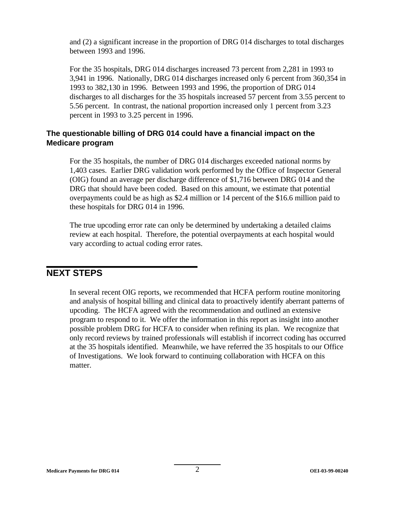and (2) a significant increase in the proportion of DRG 014 discharges to total discharges between 1993 and 1996.

For the 35 hospitals, DRG 014 discharges increased 73 percent from 2,281 in 1993 to 3,941 in 1996. Nationally, DRG 014 discharges increased only 6 percent from 360,354 in 1993 to 382,130 in 1996. Between 1993 and 1996, the proportion of DRG 014 discharges to all discharges for the 35 hospitals increased 57 percent from 3.55 percent to 5.56 percent. In contrast, the national proportion increased only 1 percent from 3.23 percent in 1993 to 3.25 percent in 1996.

#### **The questionable billing of DRG 014 could have a financial impact on the Medicare program**

For the 35 hospitals, the number of DRG 014 discharges exceeded national norms by 1,403 cases. Earlier DRG validation work performed by the Office of Inspector General (OIG) found an average per discharge difference of \$1,716 between DRG 014 and the DRG that should have been coded. Based on this amount, we estimate that potential overpayments could be as high as \$2.4 million or 14 percent of the \$16.6 million paid to these hospitals for DRG 014 in 1996.

The true upcoding error rate can only be determined by undertaking a detailed claims review at each hospital. Therefore, the potential overpayments at each hospital would vary according to actual coding error rates.

#### **NEXT STEPS**

In several recent OIG reports, we recommended that HCFA perform routine monitoring and analysis of hospital billing and clinical data to proactively identify aberrant patterns of upcoding. The HCFA agreed with the recommendation and outlined an extensive program to respond to it. We offer the information in this report as insight into another possible problem DRG for HCFA to consider when refining its plan. We recognize that only record reviews by trained professionals will establish if incorrect coding has occurred at the 35 hospitals identified. Meanwhile, we have referred the 35 hospitals to our Office of Investigations. We look forward to continuing collaboration with HCFA on this matter.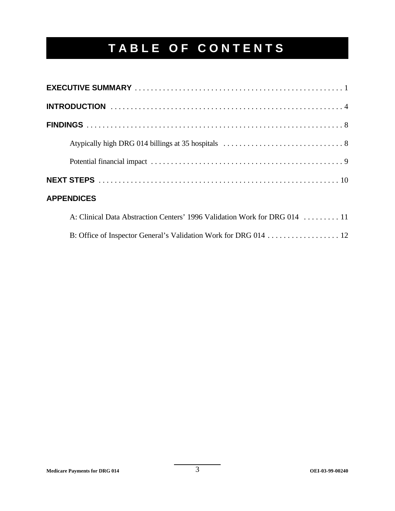# **TABLE OF CONTENTS**

| <b>APPENDICES</b>                                                         |
|---------------------------------------------------------------------------|
| A: Clinical Data Abstraction Centers' 1996 Validation Work for DRG 014 11 |
| B: Office of Inspector General's Validation Work for DRG 014 12           |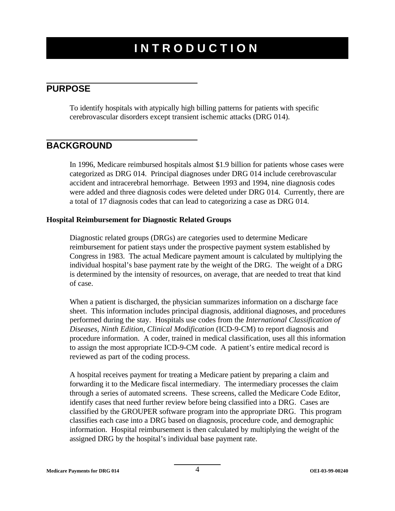# **INTRODUCTION**

#### **PURPOSE**

To identify hospitals with atypically high billing patterns for patients with specific cerebrovascular disorders except transient ischemic attacks (DRG 014).

#### **BACKGROUND**

In 1996, Medicare reimbursed hospitals almost \$1.9 billion for patients whose cases were categorized as DRG 014. Principal diagnoses under DRG 014 include cerebrovascular accident and intracerebral hemorrhage. Between 1993 and 1994, nine diagnosis codes were added and three diagnosis codes were deleted under DRG 014. Currently, there are a total of 17 diagnosis codes that can lead to categorizing a case as DRG 014.

#### **Hospital Reimbursement for Diagnostic Related Groups**

Diagnostic related groups (DRGs) are categories used to determine Medicare reimbursement for patient stays under the prospective payment system established by Congress in 1983. The actual Medicare payment amount is calculated by multiplying the individual hospital's base payment rate by the weight of the DRG. The weight of a DRG is determined by the intensity of resources, on average, that are needed to treat that kind of case.

When a patient is discharged, the physician summarizes information on a discharge face sheet. This information includes principal diagnosis, additional diagnoses, and procedures performed during the stay. Hospitals use codes from the *International Classification of Diseases, Ninth Edition, Clinical Modification* (ICD-9-CM) to report diagnosis and procedure information. A coder, trained in medical classification, uses all this information to assign the most appropriate ICD-9-CM code. A patient's entire medical record is reviewed as part of the coding process.

A hospital receives payment for treating a Medicare patient by preparing a claim and forwarding it to the Medicare fiscal intermediary. The intermediary processes the claim through a series of automated screens. These screens, called the Medicare Code Editor, identify cases that need further review before being classified into a DRG. Cases are classified by the GROUPER software program into the appropriate DRG. This program classifies each case into a DRG based on diagnosis, procedure code, and demographic information. Hospital reimbursement is then calculated by multiplying the weight of the assigned DRG by the hospital's individual base payment rate.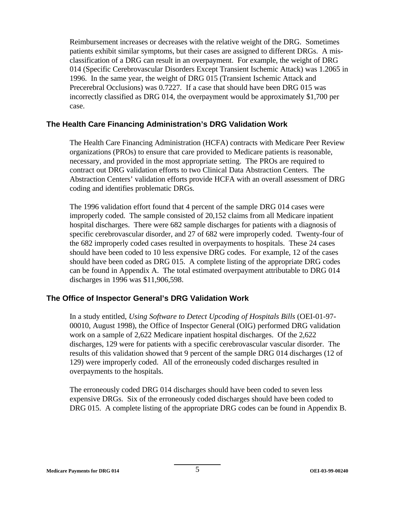Reimbursement increases or decreases with the relative weight of the DRG. Sometimes patients exhibit similar symptoms, but their cases are assigned to different DRGs. A misclassification of a DRG can result in an overpayment. For example, the weight of DRG 014 (Specific Cerebrovascular Disorders Except Transient Ischemic Attack) was 1.2065 in 1996. In the same year, the weight of DRG 015 (Transient Ischemic Attack and Precerebral Occlusions) was 0.7227. If a case that should have been DRG 015 was incorrectly classified as DRG 014, the overpayment would be approximately \$1,700 per case.

#### **The Health Care Financing Administration's DRG Validation Work**

The Health Care Financing Administration (HCFA) contracts with Medicare Peer Review organizations (PROs) to ensure that care provided to Medicare patients is reasonable, necessary, and provided in the most appropriate setting. The PROs are required to contract out DRG validation efforts to two Clinical Data Abstraction Centers. The Abstraction Centers' validation efforts provide HCFA with an overall assessment of DRG coding and identifies problematic DRGs.

The 1996 validation effort found that 4 percent of the sample DRG 014 cases were improperly coded. The sample consisted of 20,152 claims from all Medicare inpatient hospital discharges. There were 682 sample discharges for patients with a diagnosis of specific cerebrovascular disorder, and 27 of 682 were improperly coded. Twenty-four of the 682 improperly coded cases resulted in overpayments to hospitals. These 24 cases should have been coded to 10 less expensive DRG codes. For example, 12 of the cases should have been coded as DRG 015. A complete listing of the appropriate DRG codes can be found in Appendix A. The total estimated overpayment attributable to DRG 014 discharges in 1996 was \$11,906,598.

#### **The Office of Inspector General's DRG Validation Work**

In a study entitled, *Using Software to Detect Upcoding of Hospitals Bills* (OEI-01-97- 00010, August 1998), the Office of Inspector General (OIG) performed DRG validation work on a sample of 2,622 Medicare inpatient hospital discharges. Of the 2,622 discharges, 129 were for patients with a specific cerebrovascular vascular disorder. The results of this validation showed that 9 percent of the sample DRG 014 discharges (12 of 129) were improperly coded. All of the erroneously coded discharges resulted in overpayments to the hospitals.

The erroneously coded DRG 014 discharges should have been coded to seven less expensive DRGs. Six of the erroneously coded discharges should have been coded to DRG 015. A complete listing of the appropriate DRG codes can be found in Appendix B.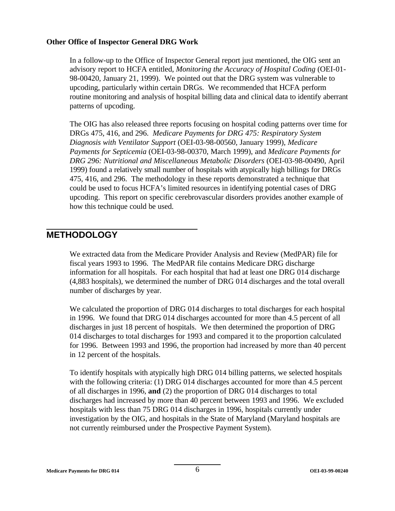#### **Other Office of Inspector General DRG Work**

In a follow-up to the Office of Inspector General report just mentioned, the OIG sent an advisory report to HCFA entitled, *Monitoring the Accuracy of Hospital Coding* (OEI-01- 98-00420, January 21, 1999). We pointed out that the DRG system was vulnerable to upcoding, particularly within certain DRGs. We recommended that HCFA perform routine monitoring and analysis of hospital billing data and clinical data to identify aberrant patterns of upcoding.

The OIG has also released three reports focusing on hospital coding patterns over time for DRGs 475, 416, and 296. *Medicare Payments for DRG 475: Respiratory System Diagnosis with Ventilator Support* (OEI-03-98-00560, January 1999), *Medicare Payments for Septicemia* (OEI-03-98-00370, March 1999), and *Medicare Payments for DRG 296: Nutritional and Miscellaneous Metabolic Disorders* (OEI-03-98-00490, April 1999) found a relatively small number of hospitals with atypically high billings for DRGs 475, 416, and 296. The methodology in these reports demonstrated a technique that could be used to focus HCFA's limited resources in identifying potential cases of DRG upcoding. This report on specific cerebrovascular disorders provides another example of how this technique could be used.

#### **METHODOLOGY**

We extracted data from the Medicare Provider Analysis and Review (MedPAR) file for fiscal years 1993 to 1996. The MedPAR file contains Medicare DRG discharge information for all hospitals. For each hospital that had at least one DRG 014 discharge (4,883 hospitals), we determined the number of DRG 014 discharges and the total overall number of discharges by year.

We calculated the proportion of DRG 014 discharges to total discharges for each hospital in 1996. We found that DRG 014 discharges accounted for more than 4.5 percent of all discharges in just 18 percent of hospitals. We then determined the proportion of DRG 014 discharges to total discharges for 1993 and compared it to the proportion calculated for 1996. Between 1993 and 1996, the proportion had increased by more than 40 percent in 12 percent of the hospitals.

To identify hospitals with atypically high DRG 014 billing patterns, we selected hospitals with the following criteria: (1) DRG 014 discharges accounted for more than 4.5 percent of all discharges in 1996, **and** (2) the proportion of DRG 014 discharges to total discharges had increased by more than 40 percent between 1993 and 1996. We excluded hospitals with less than 75 DRG 014 discharges in 1996, hospitals currently under investigation by the OIG, and hospitals in the State of Maryland (Maryland hospitals are not currently reimbursed under the Prospective Payment System).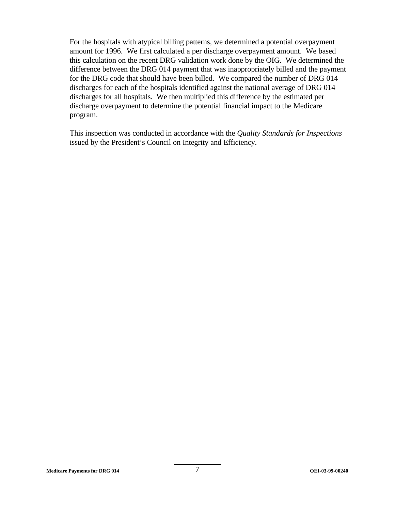For the hospitals with atypical billing patterns, we determined a potential overpayment amount for 1996. We first calculated a per discharge overpayment amount. We based this calculation on the recent DRG validation work done by the OIG. We determined the difference between the DRG 014 payment that was inappropriately billed and the payment for the DRG code that should have been billed. We compared the number of DRG 014 discharges for each of the hospitals identified against the national average of DRG 014 discharges for all hospitals. We then multiplied this difference by the estimated per discharge overpayment to determine the potential financial impact to the Medicare program.

This inspection was conducted in accordance with the *Quality Standards for Inspections*  issued by the President's Council on Integrity and Efficiency.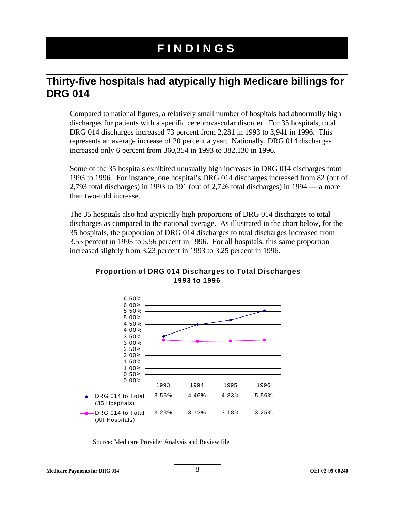# **FINDINGS**

### **Thirty-five hospitals had atypically high Medicare billings for DRG 014**

Compared to national figures, a relatively small number of hospitals had abnormally high discharges for patients with a specific cerebrovascular disorder. For 35 hospitals, total DRG 014 discharges increased 73 percent from 2,281 in 1993 to 3,941 in 1996. This represents an average increase of 20 percent a year. Nationally, DRG 014 discharges increased only 6 percent from 360,354 in 1993 to 382,130 in 1996.

Some of the 35 hospitals exhibited unusually high increases in DRG 014 discharges from 1993 to 1996. For instance, one hospital's DRG 014 discharges increased from 82 (out of 2,793 total discharges) in 1993 to 191 (out of 2,726 total discharges) in 1994 — a more than two-fold increase.

The 35 hospitals also had atypically high proportions of DRG 014 discharges to total discharges as compared to the national average. As illustrated in the chart below, for the 35 hospitals, the proportion of DRG 014 discharges to total discharges increased from 3.55 percent in 1993 to 5.56 percent in 1996. For all hospitals, this same proportion increased slightly from 3.23 percent in 1993 to 3.25 percent in 1996.



#### **Proportion of DRG 014 Discharges to Total Discharges 1993 to 1996**

Source: Medicare Provider Analysis and Review file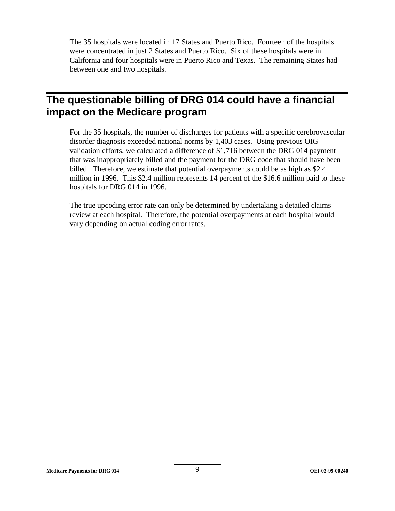The 35 hospitals were located in 17 States and Puerto Rico. Fourteen of the hospitals were concentrated in just 2 States and Puerto Rico. Six of these hospitals were in California and four hospitals were in Puerto Rico and Texas. The remaining States had between one and two hospitals.

# **The questionable billing of DRG 014 could have a financial impact on the Medicare program**

For the 35 hospitals, the number of discharges for patients with a specific cerebrovascular disorder diagnosis exceeded national norms by 1,403 cases. Using previous OIG validation efforts, we calculated a difference of \$1,716 between the DRG 014 payment that was inappropriately billed and the payment for the DRG code that should have been billed. Therefore, we estimate that potential overpayments could be as high as \$2.4 million in 1996. This \$2.4 million represents 14 percent of the \$16.6 million paid to these hospitals for DRG 014 in 1996.

The true upcoding error rate can only be determined by undertaking a detailed claims review at each hospital. Therefore, the potential overpayments at each hospital would vary depending on actual coding error rates.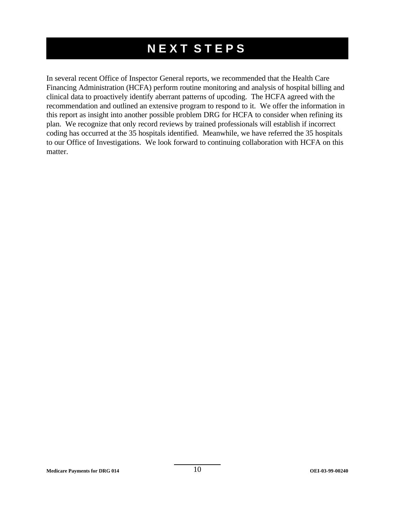# **NEXT STEPS**

In several recent Office of Inspector General reports, we recommended that the Health Care Financing Administration (HCFA) perform routine monitoring and analysis of hospital billing and clinical data to proactively identify aberrant patterns of upcoding. The HCFA agreed with the recommendation and outlined an extensive program to respond to it. We offer the information in this report as insight into another possible problem DRG for HCFA to consider when refining its plan. We recognize that only record reviews by trained professionals will establish if incorrect coding has occurred at the 35 hospitals identified. Meanwhile, we have referred the 35 hospitals to our Office of Investigations. We look forward to continuing collaboration with HCFA on this matter.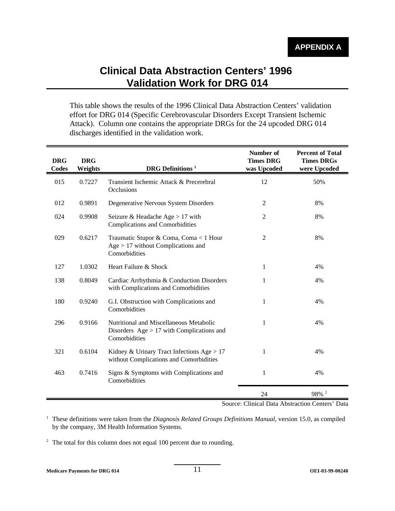## **Clinical Data Abstraction Centers' 1996 Validation Work for DRG 014**

This table shows the results of the 1996 Clinical Data Abstraction Centers' validation effort for DRG 014 (Specific Cerebrovascular Disorders Except Transient Ischemic Attack). Column one contains the appropriate DRGs for the 24 upcoded DRG 014 discharges identified in the validation work.

| <b>DRG</b><br><b>Codes</b> | <b>DRG</b><br>Weights | <b>DRG</b> Definitions <sup>1</sup>                                                                     | Number of<br><b>Times DRG</b><br>was Upcoded | <b>Percent of Total</b><br><b>Times DRGs</b><br>were Upcoded |
|----------------------------|-----------------------|---------------------------------------------------------------------------------------------------------|----------------------------------------------|--------------------------------------------------------------|
| 015                        | 0.7227                | Transient Ischemic Attack & Precerebral<br>Occlusions                                                   | 12                                           | 50%                                                          |
| 012                        | 0.9891                | Degenerative Nervous System Disorders                                                                   | 2                                            | 8%                                                           |
| 024                        | 0.9908                | Seizure & Headache Age $> 17$ with<br><b>Complications and Comorbidities</b>                            | 2                                            | 8%                                                           |
| 029                        | 0.6217                | Traumatic Stupor & Coma, Coma < 1 Hour<br>$Age > 17$ without Complications and<br>Comorbidities         | $\overline{c}$                               | 8%                                                           |
| 127                        | 1.0302                | Heart Failure & Shock                                                                                   | 1                                            | 4%                                                           |
| 138                        | 0.8049                | Cardiac Arrhythmia & Conduction Disorders<br>with Complications and Comorbidities                       | 1                                            | 4%                                                           |
| 180                        | 0.9240                | G.I. Obstruction with Complications and<br>Comorbidities                                                | 1                                            | 4%                                                           |
| 296                        | 0.9166                | Nutritional and Miscellaneous Metabolic<br>Disorders $Age > 17$ with Complications and<br>Comorbidities | 1                                            | 4%                                                           |
| 321                        | 0.6104                | Kidney & Urinary Tract Infections Age $> 17$<br>without Complications and Comorbidities                 | 1                                            | 4%                                                           |
| 463                        | 0.7416                | Signs & Symptoms with Complications and<br>Comorbidities                                                | 1                                            | 4%                                                           |
|                            |                       |                                                                                                         | 24                                           | $98\%$ $^2$                                                  |

Source: Clinical Data Abstraction Centers' Data

<sup>1</sup> These definitions were taken from the *Diagnosis Related Groups Definitions Manual*, version 15.0, as compiled by the company, 3M Health Information Systems.

<sup>2</sup> The total for this column does not equal 100 percent due to rounding.